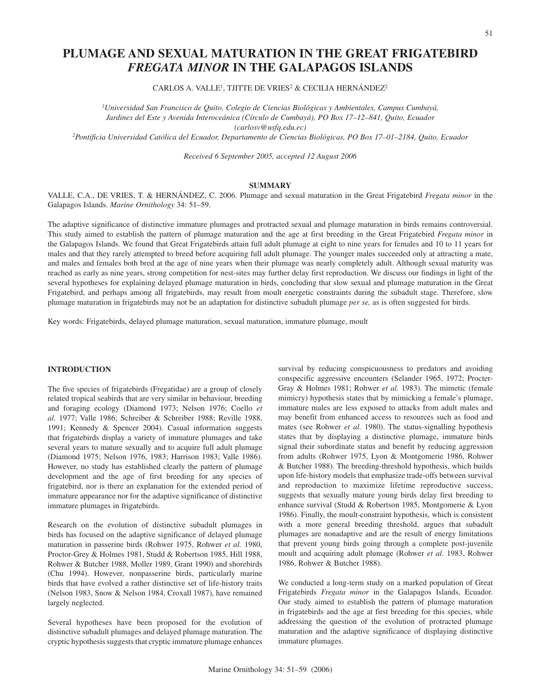# **PLUMAGE AND SEXUAL MATURATION IN THE GREAT FRIGATEBIRD**  *FREGATA MINOR* **IN THE GALAPAGOS ISLANDS**

CARLOS A. VALLE<sup>1</sup>, TJITTE DE VRIES<sup>2</sup> & CECILIA HERNÁNDEZ<sup>2</sup>

*1 Universidad San Francisco de Quito, Colegio de Ciencias Biológicas y Ambientales, Campus Cumbayá, Jardines del Este y Avenida Interoceánica (Círculo de Cumbayá), PO Box 17–12–841, Quito, Ecuador (carlosv@usfq.edu.ec)*

*2Pontificia Universidad Católica del Ecuador, Departamento de Ciencias Biológicas, PO Box 17–01–2184, Quito, Ecuador*

*Received 6 September 2005, accepted 12 August 2006*

# **SUMMARY**

VALLE, C.A., DE VRIES, T. & HERNÁNDEZ, C. 2006. Plumage and sexual maturation in the Great Frigatebird *Fregata minor* in the Galapagos Islands. *Marine Ornithology* 34: 51–59.

The adaptive significance of distinctive immature plumages and protracted sexual and plumage maturation in birds remains controversial. This study aimed to establish the pattern of plumage maturation and the age at first breeding in the Great Frigatebird *Fregata minor* in the Galapagos Islands. We found that Great Frigatebirds attain full adult plumage at eight to nine years for females and 10 to 11 years for males and that they rarely attempted to breed before acquiring full adult plumage. The younger males succeeded only at attracting a mate, and males and females both bred at the age of nine years when their plumage was nearly completely adult. Although sexual maturity was reached as early as nine years, strong competition for nest-sites may further delay first reproduction. We discuss our findings in light of the several hypotheses for explaining delayed plumage maturation in birds, concluding that slow sexual and plumage maturation in the Great Frigatebird, and perhaps among all frigatebirds, may result from moult energetic constraints during the subadult stage. Therefore, slow plumage maturation in frigatebirds may not be an adaptation for distinctive subadult plumage *per se,* as is often suggested for birds.

Key words: Frigatebirds, delayed plumage maturation, sexual maturation, immature plumage, moult

# **INTRODUCTION**

The five species of frigatebirds (Fregatidae) are a group of closely related tropical seabirds that are very similar in behaviour, breeding and foraging ecology (Diamond 1973; Nelson 1976; Coello *et al.* 1977; Valle 1986; Schreiber & Schreiber 1988; Reville 1988, 1991; Kennedy & Spencer 2004). Casual information suggests that frigatebirds display a variety of immature plumages and take several years to mature sexually and to acquire full adult plumage (Diamond 1975; Nelson 1976, 1983; Harrison 1983; Valle 1986). However, no study has established clearly the pattern of plumage development and the age of first breeding for any species of frigatebird, nor is there an explanation for the extended period of immature appearance nor for the adaptive significance of distinctive immature plumages in frigatebirds.

Research on the evolution of distinctive subadult plumages in birds has focused on the adaptive significance of delayed plumage maturation in passerine birds (Rohwer 1975, Rohwer *et al.* 1980, Proctor-Grey & Holmes 1981, Studd & Robertson 1985, Hill 1988, Rohwer & Butcher 1988, Moller 1989, Grant 1990) and shorebirds (Chu 1994). However, nonpasserine birds, particularly marine birds that have evolved a rather distinctive set of life-history traits (Nelson 1983, Snow & Nelson 1984, Croxall 1987), have remained largely neglected.

Several hypotheses have been proposed for the evolution of distinctive subadult plumages and delayed plumage maturation. The cryptic hypothesis suggests that cryptic immature plumage enhances survival by reducing conspicuousness to predators and avoiding conspecific aggressive encounters (Selander 1965, 1972; Procter-Gray & Holmes 1981; Rohwer *et al.* 1983). The mimetic (female mimicry) hypothesis states that by mimicking a female's plumage, immature males are less exposed to attacks from adult males and may benefit from enhanced access to resources such as food and mates (see Rohwer *et al.* 1980). The status-signalling hypothesis states that by displaying a distinctive plumage, immature birds signal their subordinate status and benefit by reducing aggression from adults (Rohwer 1975, Lyon & Montgomerie 1986, Rohwer & Butcher 1988). The breeding-threshold hypothesis, which builds upon life-history models that emphasize trade-offs between survival and reproduction to maximize lifetime reproductive success, suggests that sexually mature young birds delay first breeding to enhance survival (Studd & Robertson 1985, Montgomerie & Lyon 1986). Finally, the moult-constraint hypothesis, which is consistent with a more general breeding threshold, argues that subadult plumages are nonadaptive and are the result of energy limitations that prevent young birds going through a complete post-juvenile moult and acquiring adult plumage (Rohwer *et al.* 1983, Rohwer 1986, Rohwer & Butcher 1988).

We conducted a long-term study on a marked population of Great Frigatebirds *Fregata minor* in the Galapagos Islands, Ecuador. Our study aimed to establish the pattern of plumage maturation in frigatebirds and the age at first breeding for this species, while addressing the question of the evolution of protracted plumage maturation and the adaptive significance of displaying distinctive immature plumages.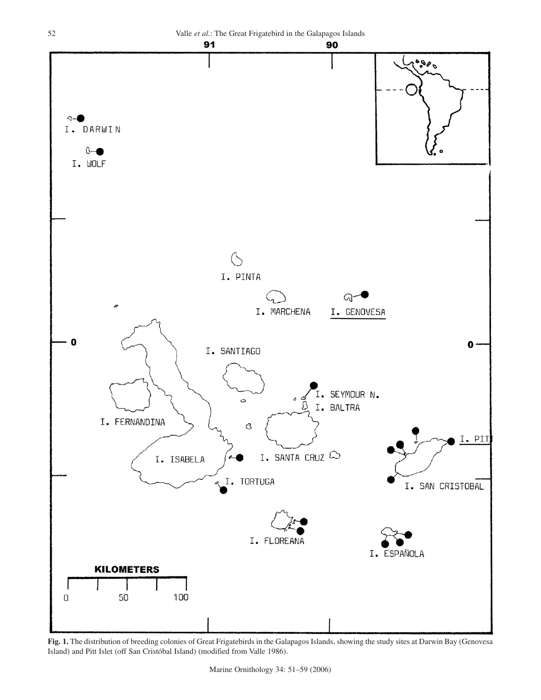

**Fig. 1.** The distribution of breeding colonies of Great Frigatebirds in the Galapagos Islands, showing the study sites at Darwin Bay (Genovesa Island) and Pitt Islet (off San Cristóbal Island) (modified from Valle 1986).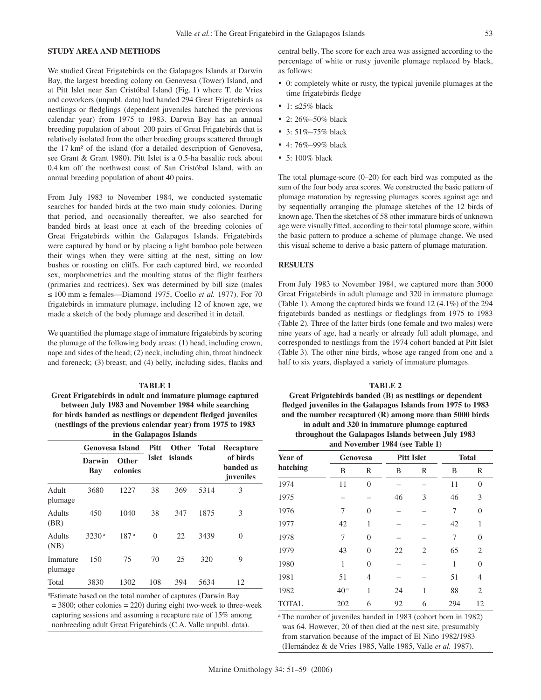### **STUDY AREA AND METHODS**

We studied Great Frigatebirds on the Galapagos Islands at Darwin Bay, the largest breeding colony on Genovesa (Tower) Island, and at Pitt Islet near San Cristóbal Island (Fig. 1) where T. de Vries and coworkers (unpubl. data) had banded 294 Great Frigatebirds as nestlings or fledglings (dependent juveniles hatched the previous calendar year) from 1975 to 1983. Darwin Bay has an annual breeding population of about 200 pairs of Great Frigatebirds that is relatively isolated from the other breeding groups scattered through the 17 km² of the island (for a detailed description of Genovesa, see Grant & Grant 1980). Pitt Islet is a 0.5-ha basaltic rock about 0.4 km off the northwest coast of San Cristóbal Island, with an annual breeding population of about 40 pairs.

From July 1983 to November 1984, we conducted systematic searches for banded birds at the two main study colonies. During that period, and occasionally thereafter, we also searched for banded birds at least once at each of the breeding colonies of Great Frigatebirds within the Galapagos Islands. Frigatebirds were captured by hand or by placing a light bamboo pole between their wings when they were sitting at the nest, sitting on low bushes or roosting on cliffs. For each captured bird, we recorded sex, morphometrics and the moulting status of the flight feathers (primaries and rectrices). Sex was determined by bill size (males ≤ 100 mm ≥ females—Diamond 1975, Coello *et al.* 1977). For 70 frigatebirds in immature plumage, including 12 of known age, we made a sketch of the body plumage and described it in detail.

We quantified the plumage stage of immature frigatebirds by scoring the plumage of the following body areas: (1) head, including crown, nape and sides of the head; (2) neck, including chin, throat hindneck and foreneck; (3) breast; and (4) belly, including sides, flanks and

# **TABLE 1**

**Great Frigatebirds in adult and immature plumage captured between July 1983 and November 1984 while searching for birds banded as nestlings or dependent fledged juveniles (nestlings of the previous calendar year) from 1975 to 1983 in the Galapagos Islands**

|                       |                   | <b>Genovesa Island</b>   |              | Other Total |      | Recapture                          |  |
|-----------------------|-------------------|--------------------------|--------------|-------------|------|------------------------------------|--|
|                       | Darwin<br>Bay     | <b>Other</b><br>colonies | <b>Islet</b> | islands     |      | of birds<br>banded as<br>juveniles |  |
| Adult<br>plumage      | 3680              | 1227                     | 38           | 369         | 5314 | 3                                  |  |
| <b>Adults</b><br>(BR) | 450               | 1040                     | 38           | 347         | 1875 | 3                                  |  |
| Adults<br>(NB)        | 3230 <sup>a</sup> | 187 <sup>a</sup>         | $\theta$     | 22          | 3439 | 0                                  |  |
| Immature<br>plumage   | 150               | 75                       | 70           | 25          | 320  | 9                                  |  |
| Total                 | 3830              | 1302                     | 108          | 394         | 5634 | 12                                 |  |

a Estimate based on the total number of captures (Darwin Bay

 $= 3800$ ; other colonies  $= 220$ ) during eight two-week to three-week capturing sessions and assuming a recapture rate of 15% among nonbreeding adult Great Frigatebirds (C.A. Valle unpubl. data).

central belly. The score for each area was assigned according to the percentage of white or rusty juvenile plumage replaced by black, as follows:

- • 0: completely white or rusty, the typical juvenile plumages at the time frigatebirds fledge
- 1:  $\leq$ 25% black
- 2: 26%–50% black
- 3: 51%-75% black
- 4:76%-99% black
- 5: 100% black

The total plumage-score (0–20) for each bird was computed as the sum of the four body area scores. We constructed the basic pattern of plumage maturation by regressing plumages scores against age and by sequentially arranging the plumage sketches of the 12 birds of known age. Then the sketches of 58 other immature birds of unknown age were visually fitted, according to their total plumage score, within the basic pattern to produce a scheme of plumage change. We used this visual scheme to derive a basic pattern of plumage maturation.

# **RESULTS**

From July 1983 to November 1984, we captured more than 5000 Great Frigatebirds in adult plumage and 320 in immature plumage (Table 1). Among the captured birds we found 12 (4.1%) of the 294 frigatebirds banded as nestlings or fledglings from 1975 to 1983 (Table 2). Three of the latter birds (one female and two males) were nine years of age, had a nearly or already full adult plumage, and corresponded to nestlings from the 1974 cohort banded at Pitt Islet (Table 3). The other nine birds, whose age ranged from one and a half to six years, displayed a variety of immature plumages.

#### **TABLE 2**

**Great Frigatebirds banded (B) as nestlings or dependent fledged juveniles in the Galapagos Islands from 1975 to 1983 and the number recaptured (R) among more than 5000 birds in adult and 320 in immature plumage captured throughout the Galapagos Islands between July 1983 and November 1984 (see Table 1)**

| Year of      | <b>Genovesa</b> |                |    | <b>Pitt Islet</b> |     | <b>Total</b>   |  |
|--------------|-----------------|----------------|----|-------------------|-----|----------------|--|
| hatching     | B               | R              | B  | R                 | B   | R              |  |
| 1974         | 11              | $\overline{0}$ |    |                   | 11  | $\overline{0}$ |  |
| 1975         |                 |                | 46 | 3                 | 46  | 3              |  |
| 1976         | 7               | $\Omega$       |    |                   | 7   | $\overline{0}$ |  |
| 1977         | 42              | 1              |    |                   | 42  | 1              |  |
| 1978         | 7               | $\Omega$       |    |                   | 7   | $\overline{0}$ |  |
| 1979         | 43              | $\theta$       | 22 | 2                 | 65  | $\overline{2}$ |  |
| 1980         | 1               | $\theta$       |    |                   | 1   | $\overline{0}$ |  |
| 1981         | 51              | $\overline{4}$ |    |                   | 51  | 4              |  |
| 1982         | 40 <sup>a</sup> | 1              | 24 | 1                 | 88  | $\overline{2}$ |  |
| <b>TOTAL</b> | 202             | 6              | 92 | 6                 | 294 | 12             |  |

<sup>a</sup> The number of juveniles banded in 1983 (cohort born in 1982) was 64. However, 20 of then died at the nest site, presumably from starvation because of the impact of El Niño 1982/1983 (Hernández & de Vries 1985, Valle 1985, Valle *et al.* 1987).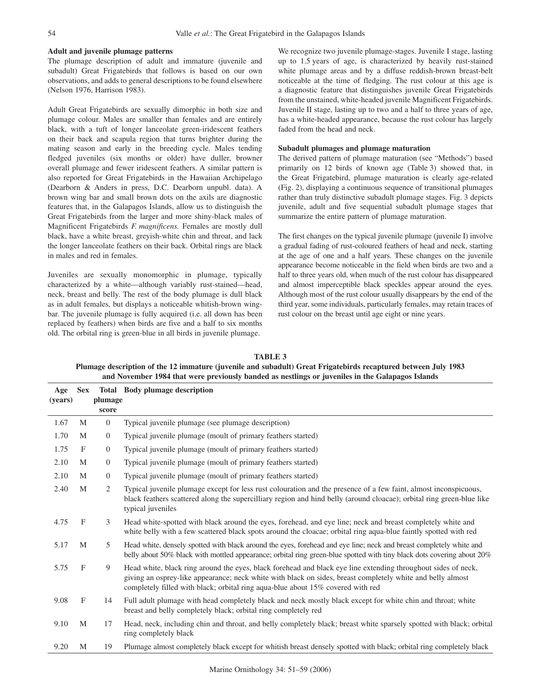# **Adult and juvenile plumage patterns**

The plumage description of adult and immature (juvenile and subadult) Great Frigatebirds that follows is based on our own observations, and adds to general descriptions to be found elsewhere (Nelson 1976, Harrison 1983).

Adult Great Frigatebirds are sexually dimorphic in both size and plumage colour. Males are smaller than females and are entirely black, with a tuft of longer lanceolate green-iridescent feathers on their back and scapula region that turns brighter during the mating season and early in the breeding cycle. Males tending fledged juveniles (six months or older) have duller, browner overall plumage and fewer iridescent feathers. A similar pattern is also reported for Great Frigatebirds in the Hawaiian Archipelago (Dearborn & Anders in press, D.C. Dearborn unpubl. data). A brown wing bar and small brown dots on the axils are diagnostic features that, in the Galapagos Islands, allow us to distinguish the Great Frigatebirds from the larger and more shiny-black males of Magnificent Frigatebirds *F. magnificens.* Females are mostly dull black, have a white breast, greyish-white chin and throat, and lack the longer lanceolate feathers on their back. Orbital rings are black in males and red in females.

Juveniles are sexually monomorphic in plumage, typically characterized by a white—although variably rust-stained—head, neck, breast and belly. The rest of the body plumage is dull black as in adult females, but displays a noticeable whitish-brown wingbar. The juvenile plumage is fully acquired (i.e. all down has been replaced by feathers) when birds are five and a half to six months old. The orbital ring is green-blue in all birds in juvenile plumage.

We recognize two juvenile plumage-stages. Juvenile I stage, lasting up to 1.5 years of age, is characterized by heavily rust-stained white plumage areas and by a diffuse reddish-brown breast-belt noticeable at the time of fledging. The rust colour at this age is a diagnostic feature that distinguishes juvenile Great Frigatebirds from the unstained, white-headed juvenile Magnificent Frigatebirds. Juvenile II stage, lasting up to two and a half to three years of age, has a white-headed appearance, because the rust colour has largely faded from the head and neck.

#### **Subadult plumages and plumage maturation**

The derived pattern of plumage maturation (see "Methods") based primarily on 12 birds of known age (Table 3) showed that, in the Great Frigatebird, plumage maturation is clearly age-related (Fig. 2), displaying a continuous sequence of transitional plumages rather than truly distinctive subadult plumage stages. Fig. 3 depicts juvenile, adult and five sequential subadult plumage stages that summarize the entire pattern of plumage maturation.

The first changes on the typical juvenile plumage (juvenile I) involve a gradual fading of rust-coloured feathers of head and neck, starting at the age of one and a half years. These changes on the juvenile appearance become noticeable in the field when birds are two and a half to three years old, when much of the rust colour has disappeared and almost imperceptible black speckles appear around the eyes. Although most of the rust colour usually disappears by the end of the third year, some individuals, particularly females, may retain traces of rust colour on the breast until age eight or nine years.

**TABLE 3 Plumage description of the 12 immature (juvenile and subadult) Great Frigatebirds recaptured between July 1983 and November 1984 that were previously banded as nestlings or juveniles in the Galapagos Islands**

| Age<br>(years) | <b>Sex</b>   | plumage        | <b>Total</b> Body plumage description                                                                                                                                                                                                                                                                          |
|----------------|--------------|----------------|----------------------------------------------------------------------------------------------------------------------------------------------------------------------------------------------------------------------------------------------------------------------------------------------------------------|
|                |              | score          |                                                                                                                                                                                                                                                                                                                |
| 1.67           | M            | $\overline{0}$ | Typical juvenile plumage (see plumage description)                                                                                                                                                                                                                                                             |
| 1.70           | M            | $\overline{0}$ | Typical juvenile plumage (moult of primary feathers started)                                                                                                                                                                                                                                                   |
| 1.75           | F            | $\overline{0}$ | Typical juvenile plumage (moult of primary feathers started)                                                                                                                                                                                                                                                   |
| 2.10           | M            | $\overline{0}$ | Typical juvenile plumage (moult of primary feathers started)                                                                                                                                                                                                                                                   |
| 2.10           | M            | $\overline{0}$ | Typical juvenile plumage (moult of primary feathers started)                                                                                                                                                                                                                                                   |
| 2.40           | M            | 2              | Typical juvenile plumage except for less rust colouration and the presence of a few faint, almost inconspicuous,<br>black feathers scattered along the supercilliary region and hind belly (around cloacae); orbital ring green-blue like<br>typical juveniles                                                 |
| 4.75           | F            | 3              | Head white-spotted with black around the eyes, forehead, and eye line; neck and breast completely white and<br>white belly with a few scattered black spots around the cloacae; orbital ring aqua-blue faintly spotted with red                                                                                |
| 5.17           | M            | 5              | Head white, densely spotted with black around the eyes, forehead and eye line; neck and breast completely white and<br>belly about 50% black with mottled appearance; orbital ring green-blue spotted with tiny black dots covering about 20%                                                                  |
| 5.75           | F            | 9              | Head white, black ring around the eyes, black forehead and black eye line extending throughout sides of neck,<br>giving an osprey-like appearance; neck white with black on sides, breast completely white and belly almost<br>completely filled with black; orbital ring aqua-blue about 15% covered with red |
| 9.08           | $\mathbf{F}$ | 14             | Full adult plumage with head completely black and neck mostly black except for white chin and throat; white<br>breast and belly completely black; orbital ring completely red                                                                                                                                  |
| 9.10           | M            | 17             | Head, neck, including chin and throat, and belly completely black; breast white sparsely spotted with black; orbital<br>ring completely black                                                                                                                                                                  |
| 9.20           | M            | 19             | Plumage almost completely black except for whitish breast densely spotted with black; orbital ring completely black                                                                                                                                                                                            |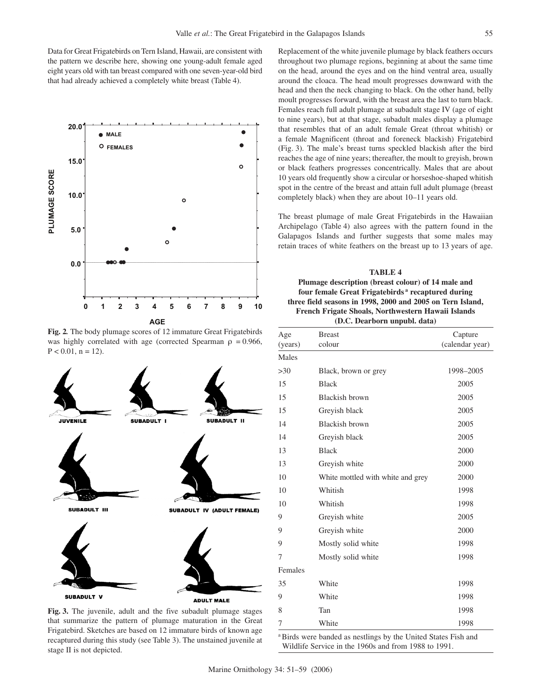Data for Great Frigatebirds on Tern Island, Hawaii, are consistent with the pattern we describe here, showing one young-adult female aged eight years old with tan breast compared with one seven-year-old bird that had already achieved a completely white breast (Table 4).



**Fig. 2***.* The body plumage scores of 12 immature Great Frigatebirds was highly correlated with age (corrected Spearman  $\rho = 0.966$ ,  $P < 0.01$ ,  $n = 12$ ).



**Fig. 3.** The juvenile, adult and the five subadult plumage stages that summarize the pattern of plumage maturation in the Great Frigatebird. Sketches are based on 12 immature birds of known age recaptured during this study (see Table 3). The unstained juvenile at stage II is not depicted.

Replacement of the white juvenile plumage by black feathers occurs throughout two plumage regions, beginning at about the same time on the head, around the eyes and on the hind ventral area, usually around the cloaca. The head moult progresses downward with the head and then the neck changing to black. On the other hand, belly moult progresses forward, with the breast area the last to turn black. Females reach full adult plumage at subadult stage IV (age of eight to nine years), but at that stage, subadult males display a plumage that resembles that of an adult female Great (throat whitish) or a female Magnificent (throat and foreneck blackish) Frigatebird (Fig. 3). The male's breast turns speckled blackish after the bird reaches the age of nine years; thereafter, the moult to greyish, brown or black feathers progresses concentrically. Males that are about 10 years old frequently show a circular or horseshoe-shaped whitish spot in the centre of the breast and attain full adult plumage (breast completely black) when they are about 10–11 years old.

The breast plumage of male Great Frigatebirds in the Hawaiian Archipelago (Table 4) also agrees with the pattern found in the Galapagos Islands and further suggests that some males may retain traces of white feathers on the breast up to 13 years of age.

**TABLE 4 Plumage description (breast colour) of 14 male and four female Great Frigatebirds a recaptured during three field seasons in 1998, 2000 and 2005 on Tern Island, French Frigate Shoals, Northwestern Hawaii Islands (D.C. Dearborn unpubl. data)**

| Age<br>(years) | <b>Breast</b><br>colour           | Capture<br>(calendar year) |
|----------------|-----------------------------------|----------------------------|
| Males          |                                   |                            |
| >30            | Black, brown or grey              | 1998-2005                  |
| 15             | <b>Black</b>                      | 2005                       |
| 15             | Blackish brown                    | 2005                       |
| 15             | Greyish black                     | 2005                       |
| 14             | Blackish brown                    | 2005                       |
| 14             | Greyish black                     | 2005                       |
| 13             | <b>Black</b>                      | 2000                       |
| 13             | Greyish white                     | 2000                       |
| 10             | White mottled with white and grey | 2000                       |
| 10             | Whitish                           | 1998                       |
| 10             | Whitish                           | 1998                       |
| 9              | Greyish white                     | 2005                       |
| 9              | Greyish white                     | 2000                       |
| 9              | Mostly solid white                | 1998                       |
| 7              | Mostly solid white                | 1998                       |
| Females        |                                   |                            |
| 35             | White                             | 1998                       |
| 9              | White                             | 1998                       |
| 8              | Tan                               | 1998                       |
| 7              | White                             | 1998                       |

<sup>a</sup>Birds were banded as nestlings by the United States Fish and Wildlife Service in the 1960s and from 1988 to 1991.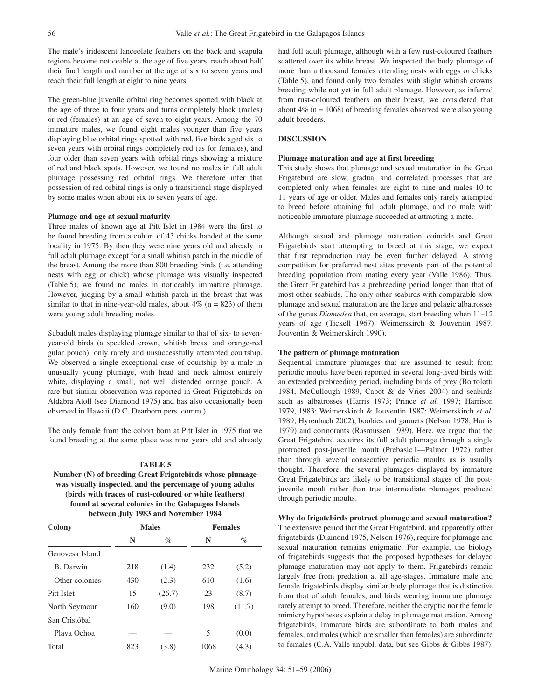The male's iridescent lanceolate feathers on the back and scapula regions become noticeable at the age of five years, reach about half their final length and number at the age of six to seven years and reach their full length at eight to nine years.

The green-blue juvenile orbital ring becomes spotted with black at the age of three to four years and turns completely black (males) or red (females) at an age of seven to eight years. Among the 70 immature males, we found eight males younger than five years displaying blue orbital rings spotted with red, five birds aged six to seven years with orbital rings completely red (as for females), and four older than seven years with orbital rings showing a mixture of red and black spots. However, we found no males in full adult plumage possessing red orbital rings. We therefore infer that possession of red orbital rings is only a transitional stage displayed by some males when about six to seven years of age.

#### **Plumage and age at sexual maturity**

Three males of known age at Pitt Islet in 1984 were the first to be found breeding from a cohort of 43 chicks banded at the same locality in 1975. By then they were nine years old and already in full adult plumage except for a small whitish patch in the middle of the breast. Among the more than 800 breeding birds (i.e. attending nests with egg or chick) whose plumage was visually inspected (Table 5), we found no males in noticeably immature plumage. However, judging by a small whitish patch in the breast that was similar to that in nine-year-old males, about  $4\%$  (n = 823) of them were young adult breeding males.

Subadult males displaying plumage similar to that of six- to sevenyear-old birds (a speckled crown, whitish breast and orange-red gular pouch), only rarely and unsuccessfully attempted courtship. We observed a single exceptional case of courtship by a male in unusually young plumage, with head and neck almost entirely white, displaying a small, not well distended orange pouch. A rare but similar observation was reported in Great Frigatebirds on Aldabra Atoll (see Diamond 1975) and has also occasionally been observed in Hawaii (D.C. Dearborn pers. comm.).

The only female from the cohort born at Pitt Islet in 1975 that we found breeding at the same place was nine years old and already

#### **TABLE 5**

**Number (N) of breeding Great Frigatebirds whose plumage was visually inspected, and the percentage of young adults (birds with traces of rust-coloured or white feathers) found at several colonies in the Galapagos Islands between July 1983 and November 1984**

| Colony          |     | <b>Males</b> | <b>Females</b> |        |  |
|-----------------|-----|--------------|----------------|--------|--|
|                 | N   | $\%$         | N              | $\%$   |  |
| Genovesa Island |     |              |                |        |  |
| B. Darwin       | 218 | (1.4)        | 232            | (5.2)  |  |
| Other colonies  | 430 | (2.3)        | 610            | (1.6)  |  |
| Pitt Islet      | 15  | (26.7)       | 23             | (8.7)  |  |
| North Seymour   | 160 | (9.0)        | 198            | (11.7) |  |
| San Cristóbal   |     |              |                |        |  |
| Playa Ochoa     |     |              | 5              | (0.0)  |  |
| Total           | 823 | (3.8)        | 1068           | (4.3)  |  |

had full adult plumage, although with a few rust-coloured feathers scattered over its white breast. We inspected the body plumage of more than a thousand females attending nests with eggs or chicks (Table 5), and found only two females with slight whitish crowns breeding while not yet in full adult plumage. However, as inferred from rust-coloured feathers on their breast, we considered that about  $4\%$  (n = 1068) of breeding females observed were also young adult breeders.

# **DISCUSSION**

#### **Plumage maturation and age at first breeding**

This study shows that plumage and sexual maturation in the Great Frigatebird are slow, gradual and correlated processes that are completed only when females are eight to nine and males 10 to 11 years of age or older. Males and females only rarely attempted to breed before attaining full adult plumage, and no male with noticeable immature plumage succeeded at attracting a mate.

Although sexual and plumage maturation coincide and Great Frigatebirds start attempting to breed at this stage, we expect that first reproduction may be even further delayed. A strong competition for preferred nest sites prevents part of the potential breeding population from mating every year (Valle 1986). Thus, the Great Frigatebird has a prebreeding period longer than that of most other seabirds. The only other seabirds with comparable slow plumage and sexual maturation are the large and pelagic albatrosses of the genus *Diomedea* that, on average, start breeding when 11–12 years of age (Tickell 1967**)**, Weimerskirch & Jouventin 1987, Jouventin & Weimerskirch 1990).

#### **The pattern of plumage maturation**

Sequential immature plumages that are assumed to result from periodic moults have been reported in several long-lived birds with an extended prebreeding period, including birds of prey (Bortolotti 1984, McCullough 1989, Cabot & de Vries 2004) and seabirds such as albatrosses (Harris 1973; Prince *et al.* 1997; Harrison 1979, 1983; Weimerskirch & Jouventin 1987; Weimerskirch *et al.* 1989; Hyrenbach 2002), boobies and gannets (Nelson 1978, Harris 1979) and cormorants (Rasmussen 1989). Here, we argue that the Great Frigatebird acquires its full adult plumage through a single protracted post-juvenile moult (Prebasic I—Palmer 1972) rather than through several consecutive periodic moults as is usually thought. Therefore, the several plumages displayed by immature Great Frigatebirds are likely to be transitional stages of the postjuvenile moult rather than true intermediate plumages produced through periodic moults.

### **Why do frigatebirds protract plumage and sexual maturation?**

The extensive period that the Great Frigatebird, and apparently other frigatebirds (Diamond 1975, Nelson 1976), require for plumage and sexual maturation remains enigmatic. For example, the biology of frigatebirds suggests that the proposed hypotheses for delayed plumage maturation may not apply to them. Frigatebirds remain largely free from predation at all age-stages. Immature male and female frigatebirds display similar body plumage that is distinctive from that of adult females, and birds wearing immature plumage rarely attempt to breed. Therefore, neither the cryptic nor the female mimicry hypotheses explain a delay in plumage maturation. Among frigatebirds, immature birds are subordinate to both males and females, and males (which are smaller than females) are subordinate to females (C.A. Valle unpubl. data, but see Gibbs & Gibbs 1987).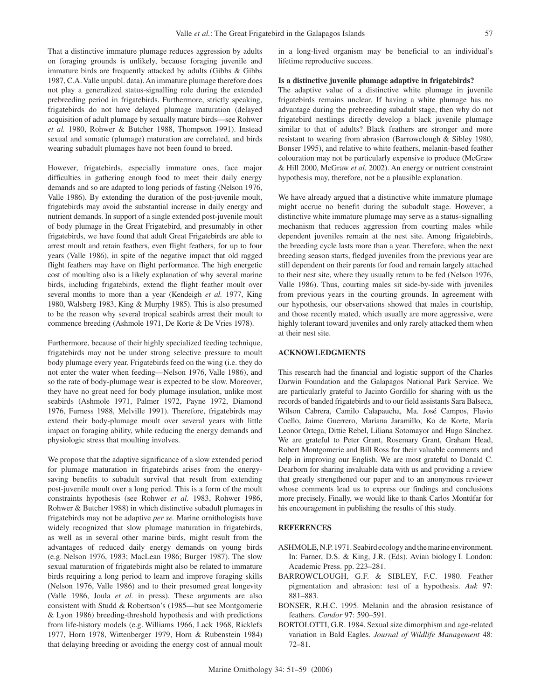That a distinctive immature plumage reduces aggression by adults on foraging grounds is unlikely, because foraging juvenile and immature birds are frequently attacked by adults (Gibbs & Gibbs 1987, C.A. Valle unpubl. data). An immature plumage therefore does not play a generalized status-signalling role during the extended prebreeding period in frigatebirds. Furthermore, strictly speaking, frigatebirds do not have delayed plumage maturation (delayed acquisition of adult plumage by sexually mature birds—see Rohwer *et al.* 1980, Rohwer & Butcher 1988, Thompson 1991). Instead sexual and somatic (plumage) maturation are correlated, and birds wearing subadult plumages have not been found to breed.

However, frigatebirds, especially immature ones, face major difficulties in gathering enough food to meet their daily energy demands and so are adapted to long periods of fasting (Nelson 1976, Valle 1986). By extending the duration of the post-juvenile moult, frigatebirds may avoid the substantial increase in daily energy and nutrient demands. In support of a single extended post-juvenile moult of body plumage in the Great Frigatebird, and presumably in other frigatebirds, we have found that adult Great Frigatebirds are able to arrest moult and retain feathers, even flight feathers, for up to four years (Valle 1986), in spite of the negative impact that old ragged flight feathers may have on flight performance. The high energetic cost of moulting also is a likely explanation of why several marine birds, including frigatebirds, extend the flight feather moult over several months to more than a year (Kendeigh *et al.* 1977, King 1980, Walsberg 1983, King & Murphy 1985). This is also presumed to be the reason why several tropical seabirds arrest their moult to commence breeding (Ashmole 1971, De Korte & De Vries 1978).

Furthermore, because of their highly specialized feeding technique, frigatebirds may not be under strong selective pressure to moult body plumage every year. Frigatebirds feed on the wing (i.e. they do not enter the water when feeding—Nelson 1976, Valle 1986), and so the rate of body-plumage wear is expected to be slow. Moreover, they have no great need for body plumage insulation, unlike most seabirds (Ashmole 1971, Palmer 1972, Payne 1972, Diamond 1976, Furness 1988, Melville 1991). Therefore, frigatebirds may extend their body-plumage moult over several years with little impact on foraging ability, while reducing the energy demands and physiologic stress that moulting involves.

We propose that the adaptive significance of a slow extended period for plumage maturation in frigatebirds arises from the energysaving benefits to subadult survival that result from extending post-juvenile moult over a long period. This is a form of the moult constraints hypothesis (see Rohwer *et al.* 1983, Rohwer 1986, Rohwer & Butcher 1988) in which distinctive subadult plumages in frigatebirds may not be adaptive *per se.* Marine ornithologists have widely recognized that slow plumage maturation in frigatebirds, as well as in several other marine birds, might result from the advantages of reduced daily energy demands on young birds (e.g. Nelson 1976, 1983; MacLean 1986; Burger 1987). The slow sexual maturation of frigatebirds might also be related to immature birds requiring a long period to learn and improve foraging skills (Nelson 1976, Valle 1986) and to their presumed great longevity (Valle 1986, Joula *et al.* in press). These arguments are also consistent with Studd & Robertson's (1985—but see Montgomerie & Lyon 1986) breeding-threshold hypothesis and with predictions from life-history models (e.g. Williams 1966, Lack 1968, Ricklefs 1977, Horn 1978, Wittenberger 1979, Horn & Rubenstein 1984) that delaying breeding or avoiding the energy cost of annual moult in a long-lived organism may be beneficial to an individual's lifetime reproductive success.

#### **Is a distinctive juvenile plumage adaptive in frigatebirds?**

The adaptive value of a distinctive white plumage in juvenile frigatebirds remains unclear. If having a white plumage has no advantage during the prebreeding subadult stage, then why do not frigatebird nestlings directly develop a black juvenile plumage similar to that of adults? Black feathers are stronger and more resistant to wearing from abrasion (Barrowclough & Sibley 1980, Bonser 1995), and relative to white feathers, melanin-based feather colouration may not be particularly expensive to produce (McGraw & Hill 2000, McGraw *et al.* 2002). An energy or nutrient constraint hypothesis may, therefore, not be a plausible explanation.

We have already argued that a distinctive white immature plumage might accrue no benefit during the subadult stage. However, a distinctive white immature plumage may serve as a status-signalling mechanism that reduces aggression from courting males while dependent juveniles remain at the nest site. Among frigatebirds, the breeding cycle lasts more than a year. Therefore, when the next breeding season starts, fledged juveniles from the previous year are still dependent on their parents for food and remain largely attached to their nest site, where they usually return to be fed (Nelson 1976, Valle 1986). Thus, courting males sit side-by-side with juveniles from previous years in the courting grounds. In agreement with our hypothesis, our observations showed that males in courtship, and those recently mated, which usually are more aggressive, were highly tolerant toward juveniles and only rarely attacked them when at their nest site.

# **ACKNOWLEDGMENTS**

This research had the financial and logistic support of the Charles Darwin Foundation and the Galapagos National Park Service. We are particularly grateful to Jacinto Gordillo for sharing with us the records of banded frigatebirds and to our field assistants Sara Balseca, Wilson Cabrera, Camilo Calapaucha, Ma. José Campos, Flavio Coello, Jaime Guerrero, Mariana Jaramillo, Ko de Korte, María Leonor Ortega, Dittie Rebel, Liliana Sotomayor and Hugo Sánchez. We are grateful to Peter Grant, Rosemary Grant, Graham Head, Robert Montgomerie and Bill Ross for their valuable comments and help in improving our English. We are most grateful to Donald C. Dearborn for sharing invaluable data with us and providing a review that greatly strengthened our paper and to an anonymous reviewer whose comments lead us to express our findings and conclusions more precisely. Finally, we would like to thank Carlos Montúfar for his encouragement in publishing the results of this study.

#### **REFERENCES**

- ASHMOLE, N.P. 1971. Seabird ecology and the marine environment. In: Farner, D.S. & King, J.R. (Eds). Avian biology I. London: Academic Press. pp. 223–281.
- BARROWCLOUGH, G.F. & SIBLEY, F.C. 1980. Feather pigmentation and abrasion: test of a hypothesis. *Auk* 97: 881–883.
- BONSER, R.H.C. 1995. Melanin and the abrasion resistance of feathers. *Condor* 97: 590–591.
- BORTOLOTTI, G.R. 1984. Sexual size dimorphism and age-related variation in Bald Eagles. *Journal of Wildlife Management* 48: 72–81.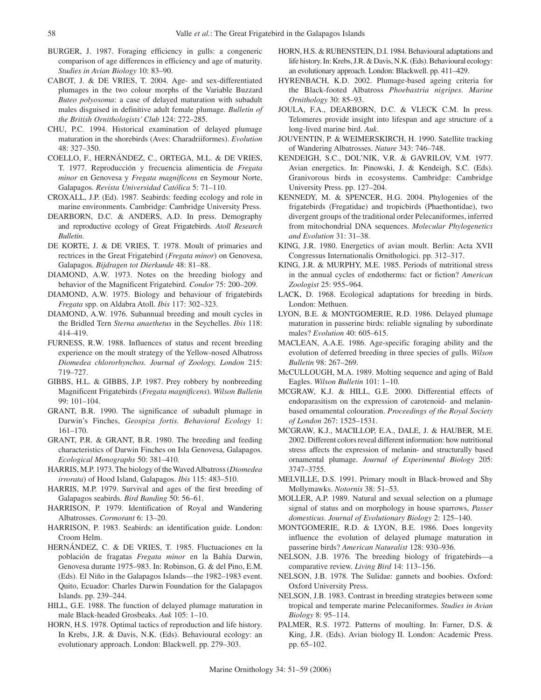- BURGER, J. 1987. Foraging efficiency in gulls: a congeneric comparison of age differences in efficiency and age of maturity. *Studies in Avian Biology* 10: 83–90.
- CABOT, J. & DE VRIES, T. 2004. Age- and sex-differentiated plumages in the two colour morphs of the Variable Buzzard *Buteo polyosoma*: a case of delayed maturation with subadult males disguised in definitive adult female plumage. *Bulletin of the British Ornithologists' Club* 124: 272–285.
- CHU, P.C. 1994. Historical examination of delayed plumage maturation in the shorebirds (Aves: Charadriiformes). *Evolution* 48: 327–350.
- COELLO, F., HERNÁNDEZ, C., ORTEGA, M.L. & DE VRIES, T. 1977. Reproducción y frecuencia alimenticia de *Fregata minor* en Genovesa y *Fregata magnificens* en Seymour Norte, Galapagos. *Revista Universidad Católica* 5: 71–110.
- CROXALL, J.P. (Ed). 1987. Seabirds: feeding ecology and role in marine environments. Cambridge: Cambridge University Press.
- DEARBORN, D.C. & ANDERS, A.D. In press. Demography and reproductive ecology of Great Frigatebirds. *Atoll Research Bulletin*.
- DE KORTE, J. & DE VRIES, T. 1978. Moult of primaries and rectrices in the Great Frigatebird (*Fregata minor*) on Genovesa, Galapagos. *Bijdragen tot Dierkunde* 48: 81–88.
- DIAMOND, A.W. 1973. Notes on the breeding biology and behavior of the Magnificent Frigatebird. *Condor* 75: 200–209.
- DIAMOND, A.W. 1975. Biology and behaviour of frigatebirds *Fregata* spp. on Aldabra Atoll. *Ibis* 117: 302–323.
- DIAMOND, A.W. 1976. Subannual breeding and moult cycles in the Bridled Tern *Sterna anaethetus* in the Seychelles. *Ibis* 118: 414–419.
- FURNESS, R.W. 1988. Influences of status and recent breeding experience on the moult strategy of the Yellow-nosed Albatross *Diomedea chlororhynchos. Journal of Zoology, London* 215: 719–727.
- GIBBS, H.L. & GIBBS, J.P. 1987. Prey robbery by nonbreeding Magnificent Frigatebirds (*Fregata magnificens*). *Wilson Bulletin* 99: 101–104.
- GRANT, B.R. 1990. The significance of subadult plumage in Darwin's Finches, *Geospiza fortis. Behavioral Ecology* 1: 161–170.
- GRANT, P.R. & GRANT, B.R. 1980. The breeding and feeding characteristics of Darwin Finches on Isla Genovesa, Galapagos. *Ecological Monographs* 50: 381–410.
- HARRIS, M.P. 1973. The biology of the Waved Albatross (*Diomedea irrorata*) of Hood Island, Galapagos. *Ibis* 115: 483–510.
- HARRIS, M.P. 1979. Survival and ages of the first breeding of Galapagos seabirds. *Bird Banding* 50: 56–61.
- HARRISON, P. 1979. Identification of Royal and Wandering Albatrosses. *Cormorant* 6: 13–20.
- HARRISON, P. 1983. Seabirds: an identification guide. London: Croom Helm.
- HERNÁNDEZ, C. & DE VRIES, T. 1985. Fluctuaciones en la población de fragatas *Fregata minor* en la Bahía Darwin, Genovesa durante 1975–983. In: Robinson, G. & del Pino, E.M. (Eds). El Niño in the Galapagos Islands—the 1982–1983 event. Quito, Ecuador: Charles Darwin Foundation for the Galapagos Islands. pp. 239–244.
- HILL, G.E. 1988. The function of delayed plumage maturation in male Black-headed Grosbeaks. *Auk* 105: 1–10.
- HORN, H.S. 1978. Optimal tactics of reproduction and life history. In Krebs, J.R. & Davis, N.K. (Eds). Behavioural ecology: an evolutionary approach. London: Blackwell. pp. 279–303.
- HORN, H.S. & RUBENSTEIN, D.I. 1984. Behavioural adaptations and life history. In: Krebs, J.R. & Davis, N.K. (Eds). Behavioural ecology: an evolutionary approach. London: Blackwell. pp. 411–429.
- HYRENBACH, K.D. 2002. Plumage-based ageing criteria for the Black-footed Albatross *Phoebastria nigripes. Marine Ornithology* 30: 85–93.
- JOULA, F.A., DEARBORN, D.C. & VLECK C.M. In press. Telomeres provide insight into lifespan and age structure of a long-lived marine bird. *Auk*.
- JOUVENTIN, P. & WEIMERSKIRCH, H. 1990. Satellite tracking of Wandering Albatrosses. *Nature* 343: 746–748.
- KENDEIGH, S.C., DOL'NIK, V.R. & GAVRILOV, V.M. 1977. Avian energetics. In: Pinowski, J. & Kendeigh, S.C. (Eds). Granivorous birds in ecosystems. Cambridge: Cambridge University Press. pp. 127–204.
- KENNEDY, M. & SPENCER, H.G. 2004. Phylogenies of the frigatebirds (Fregatidae) and tropicbirds (Phaethontidae), two divergent groups of the traditional order Pelecaniformes, inferred from mitochondrial DNA sequences. *Molecular Phylogenetics and Evolution* 31: 31–38.
- KING, J.R. 1980. Energetics of avian moult. Berlin: Acta XVII Congressus Internationalis Ornithologici. pp. 312–317.
- KING, J.R. & MURPHY, M.E. 1985. Periods of nutritional stress in the annual cycles of endotherms: fact or fiction? *American Zoologist* 25: 955–964.
- LACK, D. 1968. Ecological adaptations for breeding in birds. London: Methuen.
- LYON, B.E. & MONTGOMERIE, R.D. 1986. Delayed plumage maturation in passerine birds: reliable signaling by subordinate males? *Evolution* 40: 605–615.
- MACLEAN, A.A.E. 1986. Age-specific foraging ability and the evolution of deferred breeding in three species of gulls. *Wilson Bulletin* 98: 267–269.
- McCULLOUGH, M.A. 1989. Molting sequence and aging of Bald Eagles. *Wilson Bulletin* 101: 1–10.
- MCGRAW, K.J. & HILL, G.E. 2000. Differential effects of endoparasitism on the expression of carotenoid- and melaninbased ornamental colouration. *Proceedings of the Royal Society of London* 267: 1525–1531.
- MCGRAW, K.J., MACILLOP, E.A., DALE, J. & HAUBER, M.E. 2002. Different colors reveal different information: how nutritional stress affects the expression of melanin- and structurally based ornamental plumage. *Journal of Experimental Biology* 205: 3747–3755.
- MELVILLE, D.S. 1991. Primary moult in Black-browed and Shy Mollymawks. *Notornis* 38: 51–53.
- MOLLER, A.P. 1989. Natural and sexual selection on a plumage signal of status and on morphology in house sparrows, *Passer domesticus. Journal of Evolutionary Biology* 2: 125–140.
- MONTGOMERIE, R.D. & LYON, B.E. 1986. Does longevity influence the evolution of delayed plumage maturation in passerine birds? *American Naturalist* 128: 930–936.
- NELSON, J.B. 1976. The breeding biology of frigatebirds—a comparative review. *Living Bird* 14: 113–156.
- NELSON, J.B. 1978. The Sulidae: gannets and boobies. Oxford: Oxford University Press.
- NELSON, J.B. 1983. Contrast in breeding strategies between some tropical and temperate marine Pelecaniformes. *Studies in Avian Biology* 8: 95–114.
- PALMER, R.S. 1972. Patterns of moulting. In: Farner, D.S. & King, J.R. (Eds). Avian biology II. London: Academic Press. pp. 65–102.